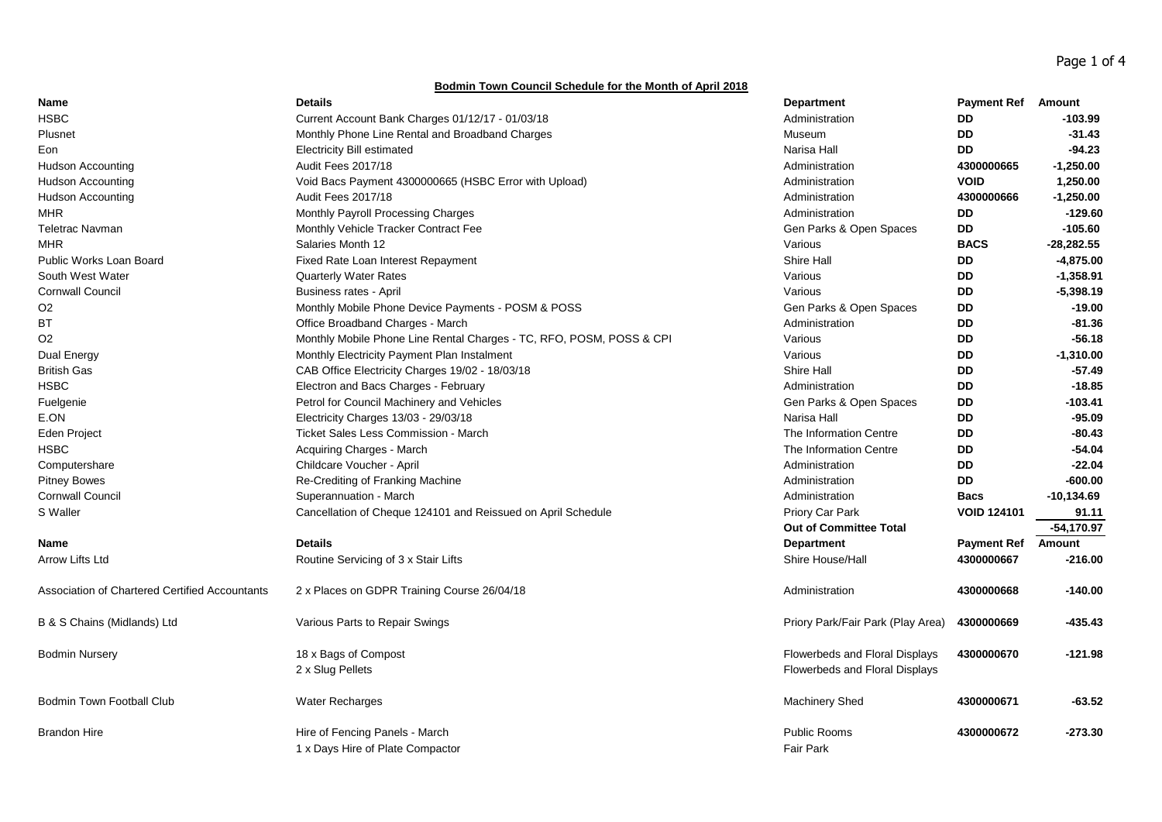Page 1 of 4

## **Bodmin Town Council Schedule for the Month of April 2018**

| Name                                           | <b>Details</b>                                                       | <b>Department</b>                                                | <b>Payment Ref</b> | Amount       |
|------------------------------------------------|----------------------------------------------------------------------|------------------------------------------------------------------|--------------------|--------------|
| <b>HSBC</b>                                    | Current Account Bank Charges 01/12/17 - 01/03/18                     | Administration                                                   | DD                 | $-103.99$    |
| Plusnet                                        | Monthly Phone Line Rental and Broadband Charges                      | Museum                                                           | DD                 | $-31.43$     |
| Eon                                            | <b>Electricity Bill estimated</b>                                    | Narisa Hall                                                      | <b>DD</b>          | $-94.23$     |
| <b>Hudson Accounting</b>                       | Audit Fees 2017/18                                                   | Administration                                                   | 4300000665         | $-1,250.00$  |
| <b>Hudson Accounting</b>                       | Void Bacs Payment 4300000665 (HSBC Error with Upload)                | Administration                                                   | <b>VOID</b>        | 1,250.00     |
| Hudson Accounting                              | Audit Fees 2017/18                                                   | Administration                                                   | 4300000666         | $-1,250.00$  |
| <b>MHR</b>                                     | Monthly Payroll Processing Charges                                   | Administration                                                   | <b>DD</b>          | $-129.60$    |
| <b>Teletrac Navman</b>                         | Monthly Vehicle Tracker Contract Fee                                 | Gen Parks & Open Spaces                                          | DD                 | $-105.60$    |
| <b>MHR</b>                                     | Salaries Month 12                                                    | Various                                                          | <b>BACS</b>        | $-28,282.55$ |
| Public Works Loan Board                        | Fixed Rate Loan Interest Repayment                                   | Shire Hall                                                       | <b>DD</b>          | $-4,875.00$  |
| South West Water                               | <b>Quarterly Water Rates</b>                                         | Various                                                          | DD                 | $-1,358.91$  |
| <b>Cornwall Council</b>                        | <b>Business rates - April</b>                                        | Various                                                          | <b>DD</b>          | $-5,398.19$  |
| O <sub>2</sub>                                 | Monthly Mobile Phone Device Payments - POSM & POSS                   | Gen Parks & Open Spaces                                          | DD                 | $-19.00$     |
| BT                                             | Office Broadband Charges - March                                     | Administration                                                   | <b>DD</b>          | $-81.36$     |
| O <sub>2</sub>                                 | Monthly Mobile Phone Line Rental Charges - TC, RFO, POSM, POSS & CPI | Various                                                          | <b>DD</b>          | $-56.18$     |
| Dual Energy                                    | Monthly Electricity Payment Plan Instalment                          | Various                                                          | <b>DD</b>          | $-1,310.00$  |
| <b>British Gas</b>                             | CAB Office Electricity Charges 19/02 - 18/03/18                      | Shire Hall                                                       | <b>DD</b>          | $-57.49$     |
| <b>HSBC</b>                                    | Electron and Bacs Charges - February                                 | Administration                                                   | <b>DD</b>          | $-18.85$     |
| Fuelgenie                                      | Petrol for Council Machinery and Vehicles                            | Gen Parks & Open Spaces                                          | DD                 | $-103.41$    |
| E.ON                                           | Electricity Charges 13/03 - 29/03/18                                 | Narisa Hall                                                      | <b>DD</b>          | $-95.09$     |
| Eden Project                                   | Ticket Sales Less Commission - March                                 | The Information Centre                                           | DD                 | $-80.43$     |
| <b>HSBC</b>                                    | Acquiring Charges - March                                            | The Information Centre                                           | <b>DD</b>          | $-54.04$     |
| Computershare                                  | Childcare Voucher - April                                            | Administration                                                   | <b>DD</b>          | $-22.04$     |
| <b>Pitney Bowes</b>                            | Re-Crediting of Franking Machine                                     | Administration                                                   | <b>DD</b>          | $-600.00$    |
| <b>Cornwall Council</b>                        | Superannuation - March                                               | Administration                                                   | <b>Bacs</b>        | $-10,134.69$ |
| S Waller                                       | Cancellation of Cheque 124101 and Reissued on April Schedule         | Priory Car Park                                                  | <b>VOID 124101</b> | 91.11        |
|                                                |                                                                      | Out of Committee Total                                           |                    | $-54,170.97$ |
| <b>Name</b>                                    | <b>Details</b>                                                       | <b>Department</b>                                                | <b>Payment Ref</b> | Amount       |
| Arrow Lifts Ltd                                | Routine Servicing of 3 x Stair Lifts                                 | Shire House/Hall                                                 | 4300000667         | $-216.00$    |
| Association of Chartered Certified Accountants | 2 x Places on GDPR Training Course 26/04/18                          | Administration                                                   | 4300000668         | $-140.00$    |
| B & S Chains (Midlands) Ltd                    | Various Parts to Repair Swings                                       | Priory Park/Fair Park (Play Area)                                | 4300000669         | $-435.43$    |
| <b>Bodmin Nursery</b>                          | 18 x Bags of Compost<br>2 x Slug Pellets                             | Flowerbeds and Floral Displays<br>Flowerbeds and Floral Displays | 4300000670         | $-121.98$    |
| <b>Bodmin Town Football Club</b>               | Water Recharges                                                      | <b>Machinery Shed</b>                                            | 4300000671         | $-63.52$     |
| <b>Brandon Hire</b>                            | Hire of Fencing Panels - March<br>1 x Days Hire of Plate Compactor   | <b>Public Rooms</b><br><b>Fair Park</b>                          | 4300000672         | $-273.30$    |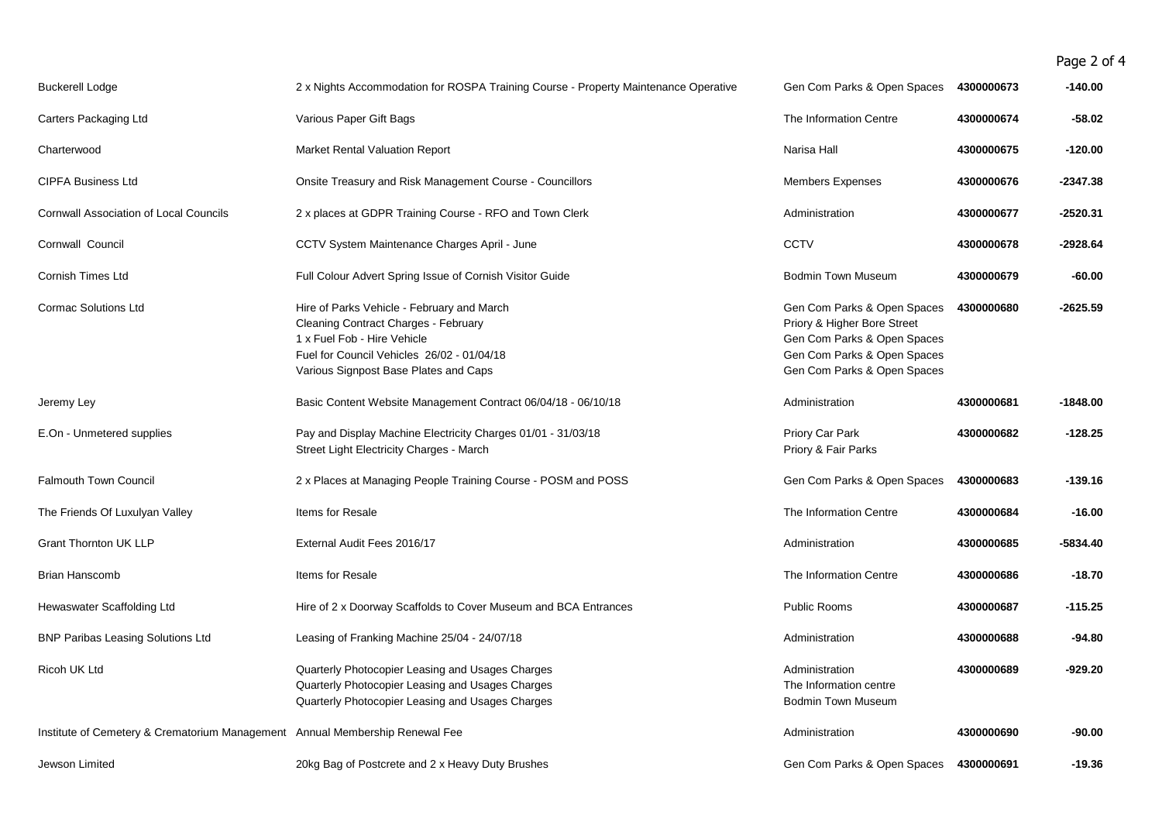## Page 2 of 4

| <b>Buckerell Lodge</b>                                                       | 2 x Nights Accommodation for ROSPA Training Course - Property Maintenance Operative                                                                                                                      | Gen Com Parks & Open Spaces                                                                                                                             | 4300000673 | -140.00    |
|------------------------------------------------------------------------------|----------------------------------------------------------------------------------------------------------------------------------------------------------------------------------------------------------|---------------------------------------------------------------------------------------------------------------------------------------------------------|------------|------------|
| Carters Packaging Ltd                                                        | Various Paper Gift Bags                                                                                                                                                                                  | The Information Centre                                                                                                                                  | 4300000674 | $-58.02$   |
| Charterwood                                                                  | <b>Market Rental Valuation Report</b>                                                                                                                                                                    | Narisa Hall                                                                                                                                             | 4300000675 | -120.00    |
| <b>CIPFA Business Ltd</b>                                                    | Onsite Treasury and Risk Management Course - Councillors                                                                                                                                                 | <b>Members Expenses</b>                                                                                                                                 | 4300000676 | $-2347.38$ |
| <b>Cornwall Association of Local Councils</b>                                | 2 x places at GDPR Training Course - RFO and Town Clerk                                                                                                                                                  | Administration                                                                                                                                          | 4300000677 | $-2520.31$ |
| Cornwall Council                                                             | CCTV System Maintenance Charges April - June                                                                                                                                                             | <b>CCTV</b>                                                                                                                                             | 4300000678 | $-2928.64$ |
| <b>Cornish Times Ltd</b>                                                     | Full Colour Advert Spring Issue of Cornish Visitor Guide                                                                                                                                                 | <b>Bodmin Town Museum</b>                                                                                                                               | 4300000679 | $-60.00$   |
| <b>Cormac Solutions Ltd</b>                                                  | Hire of Parks Vehicle - February and March<br>Cleaning Contract Charges - February<br>1 x Fuel Fob - Hire Vehicle<br>Fuel for Council Vehicles 26/02 - 01/04/18<br>Various Signpost Base Plates and Caps | Gen Com Parks & Open Spaces<br>Priory & Higher Bore Street<br>Gen Com Parks & Open Spaces<br>Gen Com Parks & Open Spaces<br>Gen Com Parks & Open Spaces | 4300000680 | $-2625.59$ |
| Jeremy Ley                                                                   | Basic Content Website Management Contract 06/04/18 - 06/10/18                                                                                                                                            | Administration                                                                                                                                          | 4300000681 | $-1848.00$ |
| E.On - Unmetered supplies                                                    | Pay and Display Machine Electricity Charges 01/01 - 31/03/18<br>Street Light Electricity Charges - March                                                                                                 | Priory Car Park<br>Priory & Fair Parks                                                                                                                  | 4300000682 | $-128.25$  |
| <b>Falmouth Town Council</b>                                                 | 2 x Places at Managing People Training Course - POSM and POSS                                                                                                                                            | Gen Com Parks & Open Spaces                                                                                                                             | 4300000683 | -139.16    |
| The Friends Of Luxulyan Valley                                               | Items for Resale                                                                                                                                                                                         | The Information Centre                                                                                                                                  | 4300000684 | $-16.00$   |
| <b>Grant Thornton UK LLP</b>                                                 | External Audit Fees 2016/17                                                                                                                                                                              | Administration                                                                                                                                          | 4300000685 | $-5834.40$ |
| <b>Brian Hanscomb</b>                                                        | Items for Resale                                                                                                                                                                                         | The Information Centre                                                                                                                                  | 4300000686 | $-18.70$   |
| Hewaswater Scaffolding Ltd                                                   | Hire of 2 x Doorway Scaffolds to Cover Museum and BCA Entrances                                                                                                                                          | <b>Public Rooms</b>                                                                                                                                     | 4300000687 | -115.25    |
| <b>BNP Paribas Leasing Solutions Ltd</b>                                     | Leasing of Franking Machine 25/04 - 24/07/18                                                                                                                                                             | Administration                                                                                                                                          | 4300000688 | $-94.80$   |
| Ricoh UK Ltd                                                                 | Quarterly Photocopier Leasing and Usages Charges<br>Quarterly Photocopier Leasing and Usages Charges<br>Quarterly Photocopier Leasing and Usages Charges                                                 | Administration<br>The Information centre<br><b>Bodmin Town Museum</b>                                                                                   | 4300000689 | -929.20    |
| Institute of Cemetery & Crematorium Management Annual Membership Renewal Fee |                                                                                                                                                                                                          | Administration                                                                                                                                          | 4300000690 | -90.00     |
| Jewson Limited                                                               | 20kg Bag of Postcrete and 2 x Heavy Duty Brushes                                                                                                                                                         | Gen Com Parks & Open Spaces                                                                                                                             | 4300000691 | $-19.36$   |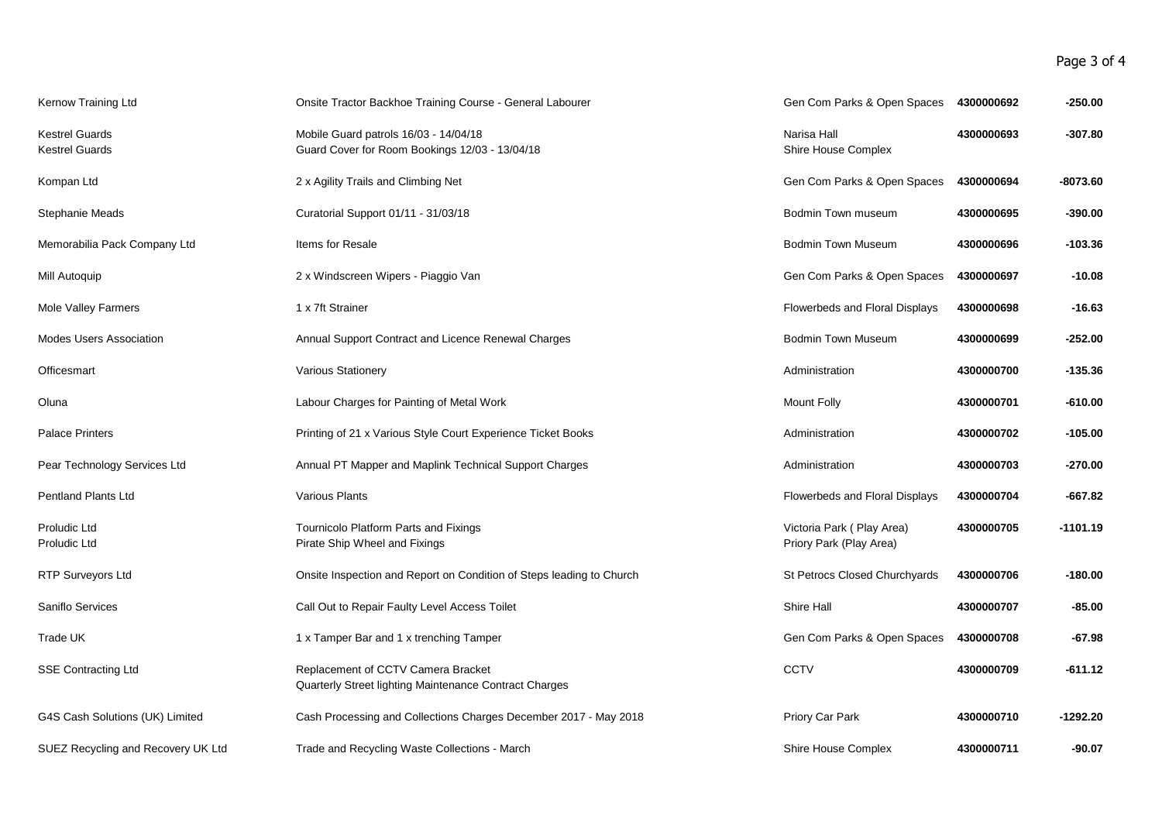Page 3 of 4

| Kernow Training Ltd                            | Onsite Tractor Backhoe Training Course - General Labourer                                    | Gen Com Parks & Open Spaces                          | 4300000692 | $-250.00$  |
|------------------------------------------------|----------------------------------------------------------------------------------------------|------------------------------------------------------|------------|------------|
| <b>Kestrel Guards</b><br><b>Kestrel Guards</b> | Mobile Guard patrols 16/03 - 14/04/18<br>Guard Cover for Room Bookings 12/03 - 13/04/18      | Narisa Hall<br>Shire House Complex                   | 4300000693 | $-307.80$  |
| Kompan Ltd                                     | 2 x Agility Trails and Climbing Net                                                          | Gen Com Parks & Open Spaces                          | 4300000694 | $-8073.60$ |
| Stephanie Meads                                | Curatorial Support 01/11 - 31/03/18                                                          | Bodmin Town museum                                   | 4300000695 | -390.00    |
| Memorabilia Pack Company Ltd                   | Items for Resale                                                                             | <b>Bodmin Town Museum</b>                            | 4300000696 | -103.36    |
| Mill Autoquip                                  | 2 x Windscreen Wipers - Piaggio Van                                                          | Gen Com Parks & Open Spaces                          | 4300000697 | $-10.08$   |
| Mole Valley Farmers                            | 1 x 7ft Strainer                                                                             | Flowerbeds and Floral Displays                       | 4300000698 | $-16.63$   |
| <b>Modes Users Association</b>                 | Annual Support Contract and Licence Renewal Charges                                          | <b>Bodmin Town Museum</b>                            | 4300000699 | $-252.00$  |
| Officesmart                                    | Various Stationery                                                                           | Administration                                       | 4300000700 | -135.36    |
| Oluna                                          | Labour Charges for Painting of Metal Work                                                    | <b>Mount Folly</b>                                   | 4300000701 | $-610.00$  |
| <b>Palace Printers</b>                         | Printing of 21 x Various Style Court Experience Ticket Books                                 | Administration                                       | 4300000702 | $-105.00$  |
| Pear Technology Services Ltd                   | Annual PT Mapper and Maplink Technical Support Charges                                       | Administration                                       | 4300000703 | -270.00    |
| <b>Pentland Plants Ltd</b>                     | Various Plants                                                                               | Flowerbeds and Floral Displays                       | 4300000704 | -667.82    |
| Proludic Ltd<br>Proludic Ltd                   | Tournicolo Platform Parts and Fixings<br>Pirate Ship Wheel and Fixings                       | Victoria Park (Play Area)<br>Priory Park (Play Area) | 4300000705 | $-1101.19$ |
| RTP Surveyors Ltd                              | Onsite Inspection and Report on Condition of Steps leading to Church                         | St Petrocs Closed Churchyards                        | 4300000706 | -180.00    |
| Saniflo Services                               | Call Out to Repair Faulty Level Access Toilet                                                | Shire Hall                                           | 4300000707 | $-85.00$   |
| Trade UK                                       | 1 x Tamper Bar and 1 x trenching Tamper                                                      | Gen Com Parks & Open Spaces                          | 4300000708 | $-67.98$   |
| <b>SSE Contracting Ltd</b>                     | Replacement of CCTV Camera Bracket<br>Quarterly Street lighting Maintenance Contract Charges | CCTV                                                 | 4300000709 | $-611.12$  |
| G4S Cash Solutions (UK) Limited                | Cash Processing and Collections Charges December 2017 - May 2018                             | Priory Car Park                                      | 4300000710 | -1292.20   |
| SUEZ Recycling and Recovery UK Ltd             | Trade and Recycling Waste Collections - March                                                | Shire House Complex                                  | 4300000711 | $-90.07$   |